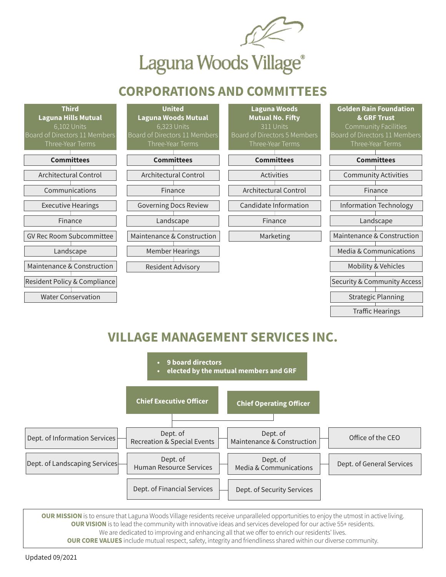

## **CORPORATIONS AND COMMITTEES**

| <b>Third</b>                    | <b>United</b>                 | <b>Laguna Woods</b>          | <b>Golden Rain Foundation</b>          |
|---------------------------------|-------------------------------|------------------------------|----------------------------------------|
| <b>Laguna Hills Mutual</b>      | <b>Laguna Woods Mutual</b>    | <b>Mutual No. Fifty</b>      | & GRF Trust                            |
| 6,102 Units                     | 6,323 Units                   | 311 Units                    | <b>Community Facilities</b>            |
| Board of Directors 11 Members   | Board of Directors 11 Members | Board of Directors 5 Members | Board of Directors 11 Members          |
| Three-Year Terms                | Three-Year Terms              | Three-Year Terms             | Three-Year Terms                       |
|                                 |                               |                              |                                        |
| <b>Committees</b>               | <b>Committees</b>             | <b>Committees</b>            | <b>Committees</b>                      |
| <b>Architectural Control</b>    | <b>Architectural Control</b>  | Activities                   | <b>Community Activities</b>            |
| Communications                  | Finance                       | <b>Architectural Control</b> | Finance                                |
| <b>Executive Hearings</b>       | <b>Governing Docs Review</b>  | Candidate Information        | <b>Information Technology</b>          |
| Finance                         | Landscape                     | Finance                      | Landscape                              |
| <b>GV Rec Room Subcommittee</b> | Maintenance & Construction    | Marketing                    | Maintenance & Construction             |
| Landscape                       | <b>Member Hearings</b>        |                              | Media & Communications                 |
| Maintenance & Construction      | <b>Resident Advisory</b>      |                              | <b>Mobility &amp; Vehicles</b>         |
| Resident Policy & Compliance    |                               |                              | <b>Security &amp; Community Access</b> |
| <b>Water Conservation</b>       |                               |                              | <b>Strategic Planning</b>              |
|                                 |                               |                              | <b>Traffic Hearings</b>                |

## **VILLAGE MANAGEMENT SERVICES INC.**



**OUR MISSION** is to ensure that Laguna Woods Village residents receive unparalleled opportunities to enjoy the utmost in active living. **OUR VISION** is to lead the community with innovative ideas and services developed for our active 55+ residents. We are dedicated to improving and enhancing all that we offer to enrich our residents' lives. **OUR CORE VALUES** include mutual respect, safety, integrity and friendliness shared within our diverse community.